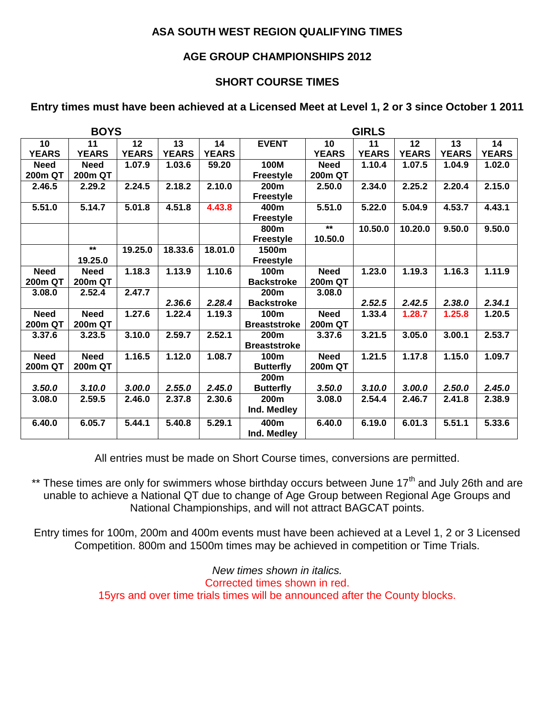# **ASA SOUTH WEST REGION QUALIFYING TIMES**

## **AGE GROUP CHAMPIONSHIPS 2012**

# **SHORT COURSE TIMES**

# **Entry times must have been achieved at a Licensed Meet at Level 1, 2 or 3 since October 1 2011**

| <b>BOYS</b>    |                |              |              |              | <b>GIRLS</b>        |              |              |              |              |              |
|----------------|----------------|--------------|--------------|--------------|---------------------|--------------|--------------|--------------|--------------|--------------|
| 10             | 11             | 12           | 13           | 14           | <b>EVENT</b>        | 10           | 11           | 12           | 13           | 14           |
| <b>YEARS</b>   | <b>YEARS</b>   | <b>YEARS</b> | <b>YEARS</b> | <b>YEARS</b> |                     | <b>YEARS</b> | <b>YEARS</b> | <b>YEARS</b> | <b>YEARS</b> | <b>YEARS</b> |
| <b>Need</b>    | <b>Need</b>    | 1.07.9       | 1.03.6       | 59.20        | 100M                | <b>Need</b>  | 1.10.4       | 1.07.5       | 1.04.9       | 1.02.0       |
| 200m QT        | 200m QT        |              |              |              | Freestyle           | 200m QT      |              |              |              |              |
| 2.46.5         | 2.29.2         | 2.24.5       | 2.18.2       | 2.10.0       | 200 <sub>m</sub>    | 2.50.0       | 2.34.0       | 2.25.2       | 2.20.4       | 2.15.0       |
|                |                |              |              |              | <b>Freestyle</b>    |              |              |              |              |              |
| 5.51.0         | 5.14.7         | 5.01.8       | 4.51.8       | 4.43.8       | 400m                | 5.51.0       | 5.22.0       | 5.04.9       | 4.53.7       | 4.43.1       |
|                |                |              |              |              | <b>Freestyle</b>    |              |              |              |              |              |
|                |                |              |              |              | 800m                | $***$        | 10.50.0      | 10.20.0      | 9.50.0       | 9.50.0       |
|                |                |              |              |              | <b>Freestyle</b>    | 10.50.0      |              |              |              |              |
|                | $*$            | 19.25.0      | 18.33.6      | 18.01.0      | 1500m               |              |              |              |              |              |
|                | 19.25.0        |              |              |              | <b>Freestyle</b>    |              |              |              |              |              |
| <b>Need</b>    | <b>Need</b>    | 1.18.3       | 1.13.9       | 1.10.6       | 100m                | <b>Need</b>  | 1.23.0       | 1.19.3       | 1.16.3       | 1.11.9       |
| 200m QT        | 200m QT        |              |              |              | <b>Backstroke</b>   | 200m QT      |              |              |              |              |
| 3.08.0         | 2.52.4         | 2.47.7       |              |              | 200m                | 3.08.0       |              |              |              |              |
|                |                |              | 2.36.6       | 2.28.4       | <b>Backstroke</b>   |              | 2.52.5       | 2.42.5       | 2.38.0       | 2.34.1       |
| <b>Need</b>    | <b>Need</b>    | 1.27.6       | 1.22.4       | 1.19.3       | 100m                | <b>Need</b>  | 1.33.4       | 1.28.7       | 1.25.8       | 1.20.5       |
| <b>200m QT</b> | 200m QT        |              |              |              | <b>Breaststroke</b> | 200m QT      |              |              |              |              |
| 3.37.6         | 3.23.5         | 3.10.0       | 2.59.7       | 2.52.1       | 200m                | 3.37.6       | 3.21.5       | 3.05.0       | 3.00.1       | 2.53.7       |
|                |                |              |              |              | <b>Breaststroke</b> |              |              |              |              |              |
| <b>Need</b>    | <b>Need</b>    | 1.16.5       | 1.12.0       | 1.08.7       | 100m                | <b>Need</b>  | 1.21.5       | 1.17.8       | 1.15.0       | 1.09.7       |
| 200m QT        | <b>200m QT</b> |              |              |              | <b>Butterfly</b>    | 200m QT      |              |              |              |              |
|                |                |              |              |              | 200m                |              |              |              |              |              |
| 3.50.0         | 3.10.0         | 3.00.0       | 2.55.0       | 2.45.0       | <b>Butterfly</b>    | 3.50.0       | 3.10.0       | 3.00.0       | 2.50.0       | 2.45.0       |
| 3.08.0         | 2.59.5         | 2.46.0       | 2.37.8       | 2.30.6       | 200m                | 3.08.0       | 2.54.4       | 2.46.7       | 2.41.8       | 2.38.9       |
|                |                |              |              |              | Ind. Medley         |              |              |              |              |              |
| 6.40.0         | 6.05.7         | 5.44.1       | 5.40.8       | 5.29.1       | 400m                | 6.40.0       | 6.19.0       | 6.01.3       | 5.51.1       | 5.33.6       |
|                |                |              |              |              | Ind. Medley         |              |              |              |              |              |

All entries must be made on Short Course times, conversions are permitted.

\*\* These times are only for swimmers whose birthday occurs between June  $17<sup>th</sup>$  and July 26th and are unable to achieve a National QT due to change of Age Group between Regional Age Groups and National Championships, and will not attract BAGCAT points.

Entry times for 100m, 200m and 400m events must have been achieved at a Level 1, 2 or 3 Licensed Competition. 800m and 1500m times may be achieved in competition or Time Trials.

> *New times shown in italics.* Corrected times shown in red. 15yrs and over time trials times will be announced after the County blocks.